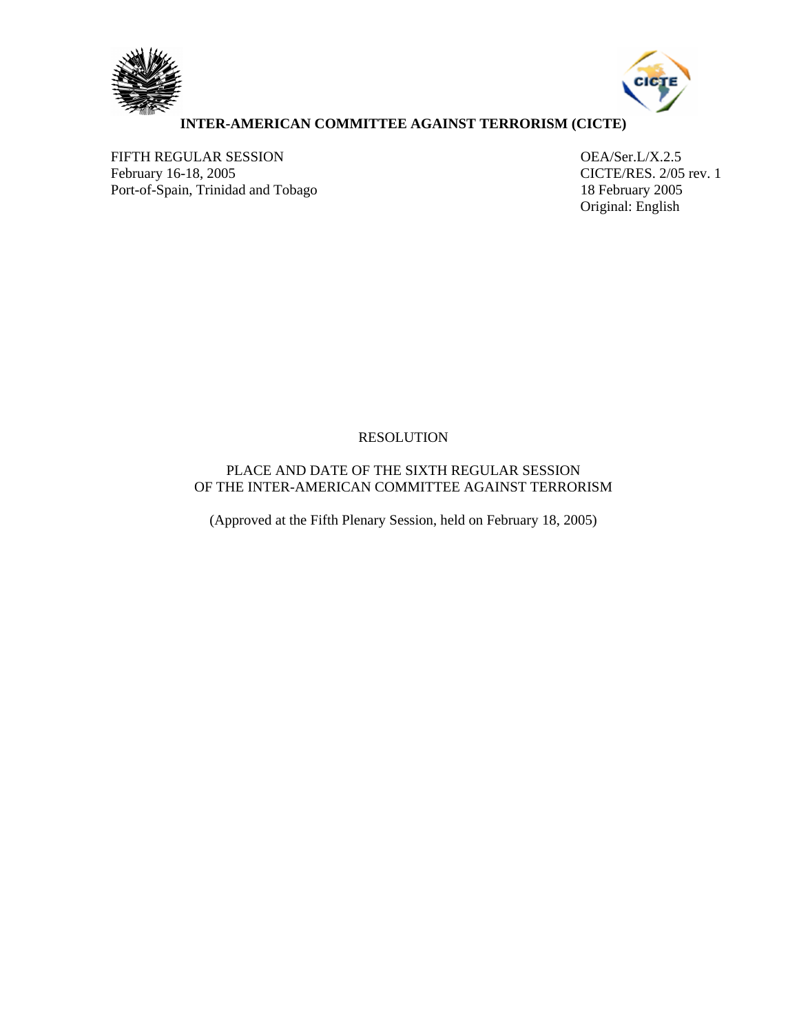



# **INTER-AMERICAN COMMITTEE AGAINST TERRORISM (CICTE)**

FIFTH REGULAR SESSION OEA/Ser.L/X.2.5<br>
February 16-18, 2005 CICTE/RES. 2/05 Port-of-Spain, Trinidad and Tobago 18 February 2005

CICTE/RES. 2/05 rev. 1 Original: English

# RESOLUTION

# PLACE AND DATE OF THE SIXTH REGULAR SESSION OF THE INTER-AMERICAN COMMITTEE AGAINST TERRORISM

(Approved at the Fifth Plenary Session, held on February 18, 2005)